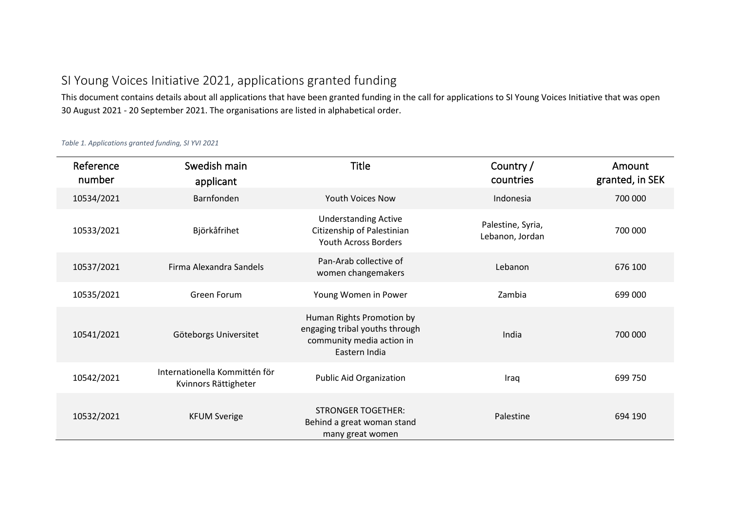## SI Young Voices Initiative 2021, applications granted funding

This document contains details about all applications that have been granted funding in the call for applications to SI Young Voices Initiative that was open 30 August 2021 - 20 September 2021. The organisations are listed in alphabetical order.

*Table 1. Applications granted funding, SI YVI 2021*

| Reference<br>number | Swedish main<br>applicant                             | <b>Title</b>                                                                                              | Country /<br>countries               | Amount<br>granted, in SEK |
|---------------------|-------------------------------------------------------|-----------------------------------------------------------------------------------------------------------|--------------------------------------|---------------------------|
| 10534/2021          | Barnfonden                                            | <b>Youth Voices Now</b>                                                                                   | Indonesia                            | 700 000                   |
| 10533/2021          | Björkåfrihet                                          | <b>Understanding Active</b><br>Citizenship of Palestinian<br><b>Youth Across Borders</b>                  | Palestine, Syria,<br>Lebanon, Jordan | 700 000                   |
| 10537/2021          | Firma Alexandra Sandels                               | Pan-Arab collective of<br>women changemakers                                                              | Lebanon                              | 676 100                   |
| 10535/2021          | Green Forum                                           | Young Women in Power                                                                                      | Zambia                               | 699 000                   |
| 10541/2021          | Göteborgs Universitet                                 | Human Rights Promotion by<br>engaging tribal youths through<br>community media action in<br>Eastern India | India                                | 700 000                   |
| 10542/2021          | Internationella Kommittén för<br>Kvinnors Rättigheter | <b>Public Aid Organization</b>                                                                            | Iraq                                 | 699 750                   |
| 10532/2021          | <b>KFUM Sverige</b>                                   | <b>STRONGER TOGETHER:</b><br>Behind a great woman stand<br>many great women                               | Palestine                            | 694 190                   |